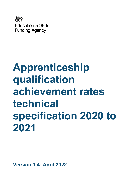

# **Apprenticeship qualification achievement rates technical specification 2020 to 2021**

**Version 1.4: April 2022**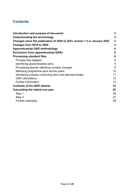## **Contents**

| Introduction and purpose of document                                      | 3                       |
|---------------------------------------------------------------------------|-------------------------|
| Understanding the terminology                                             | 3                       |
| Changes since the publication of 2020 to 2021 version 1.3 in January 2022 | 3                       |
| Changes from 2019 to 2020                                                 | 3                       |
| <b>Apprenticeship QAR methodology</b>                                     | $\overline{\mathbf{4}}$ |
| <b>Exclusions from apprenticeship QARs</b>                                | 5                       |
| <b>Processing standard files</b>                                          | 8                       |
| Process flow diagram                                                      | 8                       |
| Identifying apprenticeship aims                                           | 9                       |
| Processing learner reference number changes                               | 9                       |
| Matching programme aims across years                                      | 10                      |
| Identifying overdue continuing aims and planned breaks                    | 11                      |
| <b>QAR</b> calculations                                                   | 13                      |
| <b>Further Information</b>                                                | 13                      |
| <b>Contents of the QAR dataset</b>                                        | 15                      |
| Calculating the hybrid end year                                           | 25                      |
| Step 1                                                                    | 25                      |
| Step 2                                                                    | 27                      |
| <b>Further examples</b>                                                   | 28                      |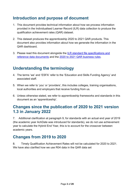# <span id="page-2-0"></span>**Introduction and purpose of document**

- 1. This document provides technical information about how we process information provided in the Individualised Learner Record (ILR) data collection to produce the qualification achievement rates (QAR) dataset.
- 2. This dataset produces the apprenticeship 2020 to 2021 QAR products. This document also provides information about how we generate the information in the QAR dashboard.
- 3. Please read this document alongside the [ILR standard file specifications and](https://www.gov.uk/government/publications/sfa-ilr-standard-file-specifications-and-reference-data)  [reference data documents](https://www.gov.uk/government/publications/sfa-ilr-standard-file-specifications-and-reference-data) and the 2020 to 2021 [QAR business rules.](https://www.gov.uk/government/publications/qualification-achievement-rates-qar-2020-to-2021)

# <span id="page-2-1"></span>**Understanding the terminology**

- 4. The terms 'we' and 'ESFA' refer to the 'Education and Skills Funding Agency' and associated staff.
- 5. When we refer to 'you' or 'providers', this includes colleges, training organisations, local authorities and employers that receive funding from us.
- 6. Unless otherwise stated, we refer to apprenticeship frameworks and standards in this document as an 'apprenticeship'.

# <span id="page-2-2"></span>**Changes since the publication of 2020 to 2021 version 1.3 in January 2022**

7. Additional clarification at paragraph 9, for standards with an actual end year of 2019 (the academic year AchDate was introduced for standards), we do not use achievement year to calculate the Hybrid End Year, this is to account for the crossover between academic years.

# <span id="page-2-3"></span>**Changes from 2019 to 2020**

8. Timely Qualification Achievement Rates will not be calculated for 2020 to 2021. We have also clarified how we use R04 data in the QAR data set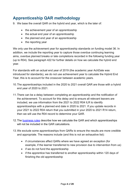# <span id="page-3-0"></span>**Apprenticeship QAR methodology**

9. We base the overall QAR on the hybrid end year, which is the later of:

- the achievement year of an apprenticeship
- the actual end year of an apprenticeship
- the planned end year of an apprenticeship
- the reporting year

We only use the achievement year for apprenticeship standards on funding model 36. In addition, we include the reporting year to capture those overdue continuing learning aims, overdue planned breaks or late completions recorded in the following funding year (up to R04). See paragraph [422](#page-24-2) for further details on how we calculate the hybrid end year.

For standards with an actual end year of 2019 (the academic year AchDate was introduced for standards), we do not use achievement year to calculate the Hybrid End Year, this is to account for the crossover between academic years.

- 10.The apprenticeships included in the 2020 to 2021 overall QAR are those with a hybrid end year of 2020 to 2021.
- 11.There can be a delay between completing an apprenticeship and the notification of the achievement. To account for this delay and to ensure all relevant leavers are included, we use information from the 2021 to 2022 R04 ILR to identify apprenticeships with a planned end date in 2020 to 2021. If you update records in your 2021 to 2022 R04 return that you submitted in your 2020 to 2021 R14 return, then we will use the R04 record to determine your QAR.
- 12.The [business rules](https://www.gov.uk/government/publications/qualification-achievement-rates-qar-2020-to-2021) describe how we calculate the QAR and which apprenticeships will not be included in the QAR calculations.
- 13.We exclude some apprenticeships from QARs to ensure the results are more credible and appropriate. The reasons include (and this is not an exhaustive list):
	- if circumstances affect QARs where we have agreed an exception (for example, if the learner transferred to new provision due to intervention from us)
	- if we do not fund the apprenticeship
	- if the apprentice has transferred to another apprenticeship within 120 days of finishing the old apprenticeship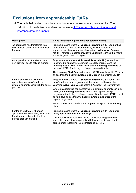# <span id="page-4-0"></span>**Exclusions from apprenticeship QARs**

14.The table below describes the scenarios where we exclude apprenticeships. The definition of the derived variables below are in [ILR standard file specifications and](https://www.gov.uk/government/publications/sfa-ilr-standard-file-specifications-and-reference-data)  [reference data documents.](https://www.gov.uk/government/publications/sfa-ilr-standard-file-specifications-and-reference-data)

| <b>Description</b>                                                                                         | Rules for identifying the excluded apprenticeship                                                                                                                                                                                                                                                               |  |
|------------------------------------------------------------------------------------------------------------|-----------------------------------------------------------------------------------------------------------------------------------------------------------------------------------------------------------------------------------------------------------------------------------------------------------------|--|
| An apprentice has transferred to a<br>new provider because of intervention<br>from us.                     | Programme aims where D_SuccessRateStatus is 10 (Learner has<br>transferred to a new provider forced by ESFA intervention or to<br>support a specific government strategy) and Withdrawal Reason is<br>not 41 (Transfer to another provider to undertake learning that meets<br>a specific government strategy). |  |
| An apprentice has transferred to a<br>new provider due to college merger.                                  | Programme aims where Withdrawal Reason is 47 (Learner has<br>transferred to another provider due to college merger), and the<br>Learning Actual End Date is less than the Learning Start Date on<br>the new UKPRN (matching on Unique Learning Number).                                                         |  |
|                                                                                                            | The Learning Start Date on the new UKPRN must be within 30 days<br>or less than the Learning Actual End Date on the original UKPRN.                                                                                                                                                                             |  |
| For the overall QAR, where an<br>apprentice has transferred to a<br>different apprenticeship with the same | Programme aims where D_SuccessRateStatus is 8 (Learner has<br>transferred to a new programme at the same provider) and the<br>Learning Actual End Date is before 1 August of the relevant year.                                                                                                                 |  |
| provider.                                                                                                  | Where an apprentice has transferred to a different apprenticeship, as<br>above, the Learning Start Date for the new apprenticeship<br>programme (matching on Unique Learner Number and UKPRN) must<br>be 120 days or less than the Learning Actual End Date of the<br>original programme.                       |  |
|                                                                                                            | We will not exclude transfers from apprenticeships to other learning<br>aims.                                                                                                                                                                                                                                   |  |
| For the overall QAR, where an<br>apprentice has temporarily withdrawn                                      | Programme aims where D_SuccessRateStatus is 11 (Learner is<br>taking a planned break from learning).                                                                                                                                                                                                            |  |
| from the apprenticeship due to an<br>agreed break in learning.                                             | Under certain circumstances, we do not exclude programme aims<br>where the learner has temporarily withdrawn from the aim due to an<br>agreed break in learning. See paragraphs 28 to 35.                                                                                                                       |  |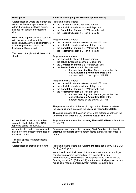| <b>Description</b>                                                                                                                                                                                                                            | Rules for identifying the excluded apprenticeship                                                                                                                                                                                                                                                                                                                                                                                                                                                                                                                                                                                                                                                                                                                                                                                                                                                                                                                                                                                                                                                                                                                                                                                                                                                                                                   |
|-----------------------------------------------------------------------------------------------------------------------------------------------------------------------------------------------------------------------------------------------|-----------------------------------------------------------------------------------------------------------------------------------------------------------------------------------------------------------------------------------------------------------------------------------------------------------------------------------------------------------------------------------------------------------------------------------------------------------------------------------------------------------------------------------------------------------------------------------------------------------------------------------------------------------------------------------------------------------------------------------------------------------------------------------------------------------------------------------------------------------------------------------------------------------------------------------------------------------------------------------------------------------------------------------------------------------------------------------------------------------------------------------------------------------------------------------------------------------------------------------------------------------------------------------------------------------------------------------------------------|
| Apprenticeships where the learner has<br>withdrawn from the apprenticeship<br>within the funding qualifying period,<br>and has not achieved the learning<br>aim.                                                                              | Programme aims where:<br>the planned duration is 168 days or more<br>the actual duration is less than 42 days; and<br>the Completion Status is 3 (Withdrawal); and<br>$\bullet$<br>the Restart Indicator is 0 (Not a Restart)<br>$\bullet$                                                                                                                                                                                                                                                                                                                                                                                                                                                                                                                                                                                                                                                                                                                                                                                                                                                                                                                                                                                                                                                                                                          |
| We exclude apprentices who restarted<br>with the same provider in this<br>exclusion rule, as the original instance<br>of learning will have passed the<br>funding qualifying period.<br>This does not apply to trailblazer pilot<br>standards | Programme aims where:<br>the planned duration is between 14 and 167 days<br>$\bullet$<br>the actual duration is less than 14 days; and<br>$\bullet$<br>the Completion Status is 3 (Withdrawal); and<br>$\bullet$<br>the Restart Indicator is 0 (Not a Restart)<br>$\bullet$<br>Programme aims where:<br>the planned duration is 168 days or more<br>$\bullet$<br>the actual duration is less than 42 days; and<br>$\bullet$<br>the Completion Status is 3 (Withdrawal); and<br>$\bullet$<br>the Restart Indicator is 1 (Restart); and<br>$\bullet$<br>the new Learning Start Date is greater than the<br>$\circ$<br>original Learning Actual End Date of the<br>apprenticeship on the original UKPRN<br>Programme aims where:<br>the planned duration is between 14 and 167 days<br>$\bullet$<br>the actual duration is less than 14 days; and<br>$\bullet$<br>the Completion Status is 3 (Withdrawal); and<br>$\bullet$<br>the Restart Indicator is 1 (Restart); and<br>$\bullet$<br>the new Learning Start Date is greater than the<br>$\circ$<br>original Learning Actual End Date of the<br>apprenticeship on the original UKPRN<br>The planned duration of the aim, in days, is the difference between<br>the Learning Start Date and the Learning Planned End Date.<br>The actual duration of the aim, in days, is the difference between the |
|                                                                                                                                                                                                                                               | Learning Start Date and the Learning Actual End Date.                                                                                                                                                                                                                                                                                                                                                                                                                                                                                                                                                                                                                                                                                                                                                                                                                                                                                                                                                                                                                                                                                                                                                                                                                                                                                               |
| Apprenticeships with a planned end<br>date after the last day of the QAR<br>reporting period (31 July 2021).                                                                                                                                  | Programme aims where the Learning Planned End Date is later than<br>31 July 2021.                                                                                                                                                                                                                                                                                                                                                                                                                                                                                                                                                                                                                                                                                                                                                                                                                                                                                                                                                                                                                                                                                                                                                                                                                                                                   |
| Apprenticeships with a learning start<br>date before the effective from date of<br>the aim in LARS.<br>This only applies to apprenticeship                                                                                                    | Programme aims where the Learning Start Date is earlier than the<br><b>Effective From Date</b> of the apprenticeship standard as recorded in<br>LARS.                                                                                                                                                                                                                                                                                                                                                                                                                                                                                                                                                                                                                                                                                                                                                                                                                                                                                                                                                                                                                                                                                                                                                                                               |
| standards.                                                                                                                                                                                                                                    |                                                                                                                                                                                                                                                                                                                                                                                                                                                                                                                                                                                                                                                                                                                                                                                                                                                                                                                                                                                                                                                                                                                                                                                                                                                                                                                                                     |
| Apprenticeships that we do not fund.                                                                                                                                                                                                          | Programme aims where the Funding Model is equal to 99 (No ESFA<br>funding) in all years.                                                                                                                                                                                                                                                                                                                                                                                                                                                                                                                                                                                                                                                                                                                                                                                                                                                                                                                                                                                                                                                                                                                                                                                                                                                            |
|                                                                                                                                                                                                                                               | We will exclude all trailblazer pilot standards without a net employer<br>contribution payment recorded (i.e. any payments minus<br>reimbursements). We calculate this for programme aims where the<br>Funding model is 81 (Other Adult) and the sum of all payment records<br>minus all reimbursement repayment records is equal to zero.                                                                                                                                                                                                                                                                                                                                                                                                                                                                                                                                                                                                                                                                                                                                                                                                                                                                                                                                                                                                          |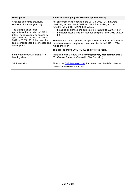| <b>Description</b>                                                                                                                                                        | Rules for identifying the excluded apprenticeship                                                                                                                                                                                                                                                                               |
|---------------------------------------------------------------------------------------------------------------------------------------------------------------------------|---------------------------------------------------------------------------------------------------------------------------------------------------------------------------------------------------------------------------------------------------------------------------------------------------------------------------------|
| Changes to records previously<br>submitted 2 or more years ago.<br>The example given is for<br>apprenticeships reported in 2019 to<br>2020. The exclusion also applies to | For apprenticeships reported in the 2019 to 2020 ILR, that were<br>previously reported in the 2017 to 2018 ILR or earlier, and not<br>reported in the 2018 to 2019 ILR. Where<br>the actual or planned end dates are not in 2019 to 2020 or later<br>the apprenticeship was first reported complete in the 2019 to 2020<br>ILR. |
| apprenticeships reported in 2018 to<br>2019 or 2017 to 2018 that meet the<br>same conditions for the corresponding<br>earlier years.                                      | The record is not an update to an apprenticeship that would otherwise<br>have been an overdue planned break counted in the 2019 to 2020<br>hybrid end year.<br>This applies only to 2019 to 2020 and previous years.                                                                                                            |
| Former Employer Ownership Pilot<br>learning aims.                                                                                                                         | Programme aims where any Learning Delivery Monitoring Code is<br>351 (Former Employer Ownership Pilot Provision)                                                                                                                                                                                                                |
| SILR exclusion                                                                                                                                                            | Aims in the <b>QAR</b> business rules that do not meet the definition of an<br>apprenticeship programme aim.                                                                                                                                                                                                                    |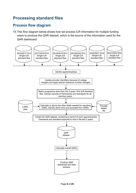# <span id="page-7-0"></span>**Processing standard files**

## <span id="page-7-1"></span>**Process flow diagram**

15.This flow diagram below shows how we process ILR information for multiple funding years to produce the QAR dataset, which is the source of the information used for the QAR dashboard.

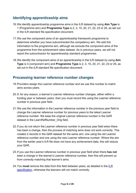## <span id="page-8-0"></span>**Identifying apprenticeship aims**

- 16.We identify apprenticeship programme aims in the ILR dataset by using **Aim Type** is 1 (Programme aim) and **Programme Type** is 2, 3, 10, 20, 21, 22, 23 or 25, as set out in the ILR standard file specification document.
- 17.We use the component aims of an apprenticeship framework programme to determine whether you have subcontracted the competency aim. We add this information to the programme aim, although we exclude the component aims of the programme from the achievement rates dataset. As in previous years, we will not report the subcontractor for apprenticeship standard programmes.
- 18.We identify the component aims of an apprenticeship in the ILR dataset by using **Aim Type** is 3 (component aim) and **Programme Type** is 2, 3, 10, 20, 21, 22, 23 or 25, as set out in the ILR standard file specification document.

## <span id="page-8-1"></span>**Processing learner reference number changes**

- 19.Providers assign the Learner reference number and we use this number to match aims across years.
- 20.If, for any reason, a learner's Learner reference number changes, either within a funding year or between years, then you must record this using the Learner reference number in previous year field.
- 21.We use the information in the Learner reference number in the previous year field to change the Learner reference number for previous years to the latest Learner reference number. We keep the original Learner reference number in the QAR dataset in the LearnRefNumber\_Orig field.
- 22.If you do not return the Learner reference number in previous year field when there has been a change, then the process of matching aims does not work correctly. This creates 2 records in the QAR dataset for the same aim: one using the old Learner reference number and one using the new Learner reference number. Where the aim from the earlier year's ILR file does not have any achievement data, this will reduce your QAR.
- 23.If you use the Learner reference number in previous year field when there **has not** been a change in the learner's Learner reference number, then this will prevent us from correctly matching that learner's aims.
- 24.You **must** remove the data from this field between years, as detailed in the [ILR](https://www.gov.uk/government/collections/individualised-learner-record-ilr)  [specification,](https://www.gov.uk/government/collections/individualised-learner-record-ilr) otherwise the learners will not match correctly.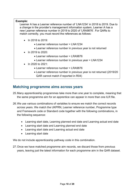#### **Example:**

Learner A has a Learner reference number of 'LNA1234' in 2018 to 2019. Due to a change in the provider's management information system, Learner A has a new Learner reference number in 2019 to 2020 of 'LRA9876'. For QARs to match correctly, you must record the references as follows:

- In 2018 to 2019:
	- Learner reference number = LNA1234
	- Learner reference number in previous year is not returned
- In 2019 to 2020:
	- Learner reference number = LRA9876
	- Learner reference number in previous year = LNA1234
- In 2020 to 2021:

•

- Learner reference number = LRA9876
- Learner reference number in previous year is not returned (2019/20 QAR cannot match if reported in R04)

### <span id="page-9-0"></span>**Matching programme aims across years**

- 25.Many apprenticeship programmes take more than one year to complete, meaning that the same programme aim for an apprentice can appear in more than one ILR file.
- 26.We use various combinations of variables to ensure we match the correct records across years. We match the UKPRN, Learner reference number, Programme type and Framework code or Standard code together with the following combinations, in the following sequence:
	- Learning start date, Learning planned end date and Learning actual end date
	- Learning start date and Learning planned end date
	- Learning start date and Learning actual end date
	- Learning start date

We do not include apprenticeship pathway code in this combination.

27.Once we have matched programme aim records, we discard those from previous years, leaving just the latest information for each programme aim in the QAR dataset.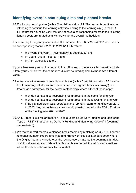## <span id="page-10-0"></span>**Identifying overdue continuing aims and planned breaks**

28.Continuing learning aims (with a Completion status of 1 'The learner is continuing or intending to continue the learning activities leading to the learning aim') in the R14 ILR return for a funding year, that do not have a corresponding record in the following funding year, are treated as a withdrawal for the overall methodology.

For example, if the year you submitted the record on the ILR is '2019/2020' and there is no corresponding record in 2020 to 2021 R14 ILR return:

- the hybrid end year (P Hybridendyr) is set to 2020; and
- P Count Overall is set to 1; and
- P\_Ach\_Overall is set to 0

If you subsequently return the record in the ILR in any of the years after, we will exclude it from your QAR so that the same record is not counted against QARs in two different years.

- 29.Aims where the learner is on a planned break (with a Completion status of 6 'Learner has temporarily withdrawn from the aim due to an agreed break in learning'), are treated as a withdrawal for the overall methodology where either of these apply:
	- they do not have a corresponding restart record in the same funding year
	- they do not have a corresponding restart record in the following funding year
	- if the planned break was recorded in the ILR R14 return for funding year 2019 to 2020, they do not have a corresponding restart record in the R04 ILR return of the funding year 2021 to 2022
- 30.An ILR record is a restart record if it has a Learning Delivery Funding and Monitoring Type of 'RES' with a Learning Delivery Funding and Monitoring Code of 1 (Learning aim restarted).
- 31.We match restart records to planned break records by matching on UKPRN, Learner reference number, Programme type and Framework code or Standard code where the Original learning start date on the restart record matches the Learning start date or Original learning start date of the planned break record; this allows for situations where the planned break was itself a restart.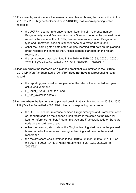- 32.For example, an aim where the learner is on a planned break, that is submitted in the 2018 to 2019 ILR (YearAimSubmitted is '2018/19'), **has** a corresponding restart record if:
	- the UKPRN, Learner reference number, Learning aim reference number Programme type and Framework code or Standard code on the planned break record is the same as the UKPRN, Learner reference number, Programme type and Framework code or Standard code on a restart record; and
	- either the Learning start date or the Original learning start date on the planned break record is the same as the Original learning start date on the restart record; and
	- the restart record was submitted in the 2018 to 2019, 2019 to 2020 or 2020 or 2021 ILR (YearAimSubmitted is '2018/19', '2019/20' or '2020/21')
- 33.If an aim where the learner is on a planned break that is submitted in the 2018 to 2019 ILR (YearAimSubmitted is '2018/19') **does not have** a corresponding restart record:
	- the reporting year is set to one year after the later of the expected end year or actual end year; and
	- P Count Overall is set to 1; and
	- P\_Ach\_Overall is set to 0
- 34.An aim where the learner is on a planned break, that is submitted in the 2019 to 2020 ILR (YearAimSubmitted is '2019/20'), **has** a corresponding restart record if:
	- the UKPRN, Learner reference number, Programme type and Framework code or Standard code on the planned break record is the same as the UKPRN, Learner reference number, Programme type and Framework code or Standard code on a restart record; and
	- either the Learning start date or the Original learning start date on the planned break record is the same as the original learning start date on the restart record; and
	- the restart record was submitted in the 2019 to 2020 or 2020 to 2021 ILR, or the 2021 to 2022 R04 ILR (YearAimSubmitted is '2019/20, '2020/21' or '2021/22')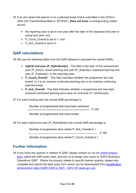- 35.If an aim where the learner is on a planned break that is submitted in the 2019 to 2020 ILR (YearAimSubmitted is '2019/20'), **does not have** a corresponding restart record:
	- the reporting year is set to one year after the later of the expected end year or actual end year; and
	- P Count Overall is set to 1; and
	- P Ach Overall is set to 0

## <span id="page-12-0"></span>**QAR calculations**

36.We use the following fields from the QAR dataset to calculate the overall QARs:

- **Hybrid end year (P\_Hybridendyr)** This field is the later of the achievement year (P\_Achyr), actual learning end year (P\_Actendyr), expected learning end year (P\_Expendyr), or the reporting year.
- **P\_Count\_Overall** This field indicates whether the programme aim has ended, or it is an overdue continuing learning aim or an overdue continuing planned break.
- **P\_Ach\_Overall** This field indicates whether a programme aim has been achieved (achieved learning aims have an Outcome of 1 (Achieved)).
- 37.For each funding year the overall QAR percentage is:

Number of programmes that have been achieved

 $\frac{1}{2}$  X 100

Number of programmes that have ended

38. For each hybrid end year (P Hybridendyr) the overall QAR percentage is:

Number of programme aims where P\_Ach\_Overall is 1

 $- X 100$ 

Number of programme aims where P\_Count\_Overall is 1

## <span id="page-12-1"></span>**Further Information**

39. If you have any queries in relation to QAR, please contact us via our online enquiry [form](https://form.education.gov.uk/en/AchieveForms/?form_uri=sandbox-publish://AF-Process-f9f4f5a1-936f-448b-bbeb-9dcdd595f468/AF-Stage-8aa41278-3cdd-45a3-ad87-80cbffb8b992/definition.json&redirectlink=%2Fen&cancelRedirectLink=%2Fen), select the QAR query type, and ask us to assign your query to 'ESFA Business Operations QAR'. Where the enquiry relates to specific learner queries, please also complete and submit the data query form which can be downloaded from [Qualification](https://www.gov.uk/government/publications/qualification-achievement-rates-qar-2020-to-2021)  [achievement rates \(QAR\) 2020 to 2021 -](https://www.gov.uk/government/publications/qualification-achievement-rates-qar-2020-to-2021) GOV.UK (www.gov.uk).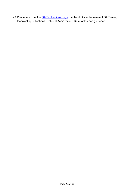40. Please also use the **QAR collections page** that has links to the relevant QAR rules, technical specifications, National Achievement Rate tables and guidance.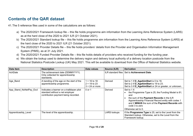# **Contents of the QAR dataset**

41.The 5 reference files used in some of the calculations are as follows:

- a) The 2020/2021 Framework lookup file this file holds programme aim information from the Learning Aims Reference System (LARS) as at the hard close of the 2020 to 2021 ILR (21 October 2021).
- b) The 2020/2021 Standard lookup file this file holds programme aim information from the Learning Aims Reference System (LARS) at the hard close of the 2020 to 2021 ILR (21 October 2021).
- c) The 2020/2021 Provider Details file this file holds providers' details from the Provider and Organisation Information Management System (PIMS), as at 31 July 2021.
- d) The 2020/2021 Funded Provider Details file this file holds details of providers who received funding for the funding year.
- e) We obtain the lookup used to determine the delivery region and delivery local authority of a delivery location postcode from the National Statistics Postcode Lookup (UK) May 2021. This will be available to download from the Office of National Statistics website.

<span id="page-14-0"></span>

| Data item               | <b>Description</b>                                                                                                    | Data values                                          | Source (ILR)              | <b>Derivation</b>                                                                                                                                                                                                                                                         |
|-------------------------|-----------------------------------------------------------------------------------------------------------------------|------------------------------------------------------|---------------------------|---------------------------------------------------------------------------------------------------------------------------------------------------------------------------------------------------------------------------------------------------------------------------|
| AchDate                 | The achievement date (DDMMYYYY).<br>Only collected for apprenticeship<br>standards.                                   |                                                      | <b>ILR</b> standard files | Set to Achievement Date.                                                                                                                                                                                                                                                  |
| Age Band                | A banding of the age on the start of the<br>apprenticeship programme.                                                 | $1 = 16$ to 18<br>$2 = 19$ to 23<br>$3 = 24$ or more | Derived                   | Set to 1 if D_AgeAimStart is 0 to 18.<br>Set to 2 if D_AgeAimStart is 19 to 23.<br>Set to 3 if D AgeAimStart or 24 or greater, or unknown.                                                                                                                                |
| App_Stand_NoNetPay_Excl | Indicates a learner on a trailblazer pilot<br>standard without a net employer<br>contribution payment being recorded. | 0 or 1                                               | Derived                   | Set to 1 if:<br>the Programme Type is 25, the Funding Model is 81;<br>and<br>the sum of the Payment Records in the ILR<br>Apprenticeship Financial Record entity with codes 1<br>and 2 MINUS the sum of the Payment Records with<br>code 3 is zero<br>Otherwise set to 0. |
| Apprenticeship Level    | The level of the apprenticeship.                                                                                      |                                                      | <b>LARS lookups</b>       | If the <b>Programme Type</b> is 25, set to the Level from the<br>Standard lookup. Otherwise, set to the Level from the<br>Framework lookup.                                                                                                                               |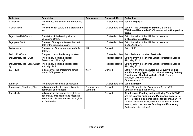| Data item                         | <b>Description</b>                                                                                                                                     | <b>Data values</b>       | Source (ILR)              | <b>Derivation</b>                                                                                                                                                                                                                                                                                                          |
|-----------------------------------|--------------------------------------------------------------------------------------------------------------------------------------------------------|--------------------------|---------------------------|----------------------------------------------------------------------------------------------------------------------------------------------------------------------------------------------------------------------------------------------------------------------------------------------------------------------------|
| CampusID                          | The campus identifier of the programme<br>aim.                                                                                                         |                          | ILR standard files        | Set to Campus ID.                                                                                                                                                                                                                                                                                                          |
| CompStatus                        | The completion status of the programme<br>aim.                                                                                                         |                          | ILR standard files        | Set to 4 if the Completion Status is 3 and the<br>Withdrawal Reason is 40. Otherwise, set to Completion<br>Status.                                                                                                                                                                                                         |
| D AchieveRateStatus               | The status of the learning aim for<br>calculating QARs.                                                                                                |                          | <b>ILR</b> standard files | Set to the value of the ILR derived variable<br><b>D_SuccessRateStatus.</b>                                                                                                                                                                                                                                                |
| D_AgeAimStart                     | The age of the apprentice on the start<br>date of the programme aim.                                                                                   |                          | <b>ILR</b> standard files | Set to the value of the ILR derived variable<br>D_AgeAimStart.                                                                                                                                                                                                                                                             |
| Datasource                        | The source of the record on the QARs<br>dataset.                                                                                                       | <b>ILR</b>               | Derived                   | Set to 'ILR'.                                                                                                                                                                                                                                                                                                              |
| <b>DelLocPostCode</b>             | The postcode of the delivery location.                                                                                                                 |                          | ILR standard files        | Set to Delivery Location Postcode.                                                                                                                                                                                                                                                                                         |
| DelLocPostCode GOR                | The delivery location postcode<br>Government office region.                                                                                            |                          | Postcode lookup           | Obtained from the National Statistics Postcode Lookup<br>(UK) May 2021.                                                                                                                                                                                                                                                    |
| DelLocPostCode LocalAuthor<br>ity | The delivery location postcode local<br>authority district.                                                                                            |                          | Postcode lookup           | Obtained from the National Statistics Postcode Lookup<br>(UK) May 2021.                                                                                                                                                                                                                                                    |
| EOP_Excl                          | Indicates that the programme aim is<br>former EOP provision.                                                                                           | $0$ or 1                 | Derived                   | Set to 1 if and there is a Learning Delivery Funding<br>and Monitoring Type of 'LDM' with a Learning Delivery<br>Funding and Monitoring Code of 351 (Former<br>Employer Ownership Pilot).<br>Otherwise set to 0.                                                                                                           |
| Ethnicity                         | The apprentice's ethnic background.                                                                                                                    |                          | ILR standard files        | Set to Ethnicity.                                                                                                                                                                                                                                                                                                          |
| Framework Standard Filter         | Indicates whether the apprenticeship is a<br>framework or a standard.                                                                                  | Framework or<br>Standard | Derived                   | Set to 'Standard' if the Programme Type is 25.<br>Otherwise set to 'Framework'.                                                                                                                                                                                                                                            |
| FreeMeals                         | Indicates that the learner is eligible for<br>free meals, or is eligible and receiving<br>free meals. 19+ learners are not eligible<br>for free meals. |                          | Derived                   | If the Learner Funding and Monitoring Type is 'FME'<br>and the Learner Funding and Monitoring Code is 1 or<br>2 (14-15 year old learner is eligible for free meals OR 16-<br>19 year old learner is eligible for and in receipt of free<br>meals), set to the Learner Funding and Monitoring<br>Code, otherwise set to -1. |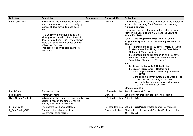| Data item                  | <b>Description</b>                                                                                                                                                                                                                                                                                                                                                                                     | <b>Data values</b> | Source (ILR)       | <b>Derivation</b>                                                                                                                                                                                                                                                                                                                                                                                                                                                                                                                                                                                                                                                                                                                                                                                                                                                                                                                                                                                                                                                                                                                    |
|----------------------------|--------------------------------------------------------------------------------------------------------------------------------------------------------------------------------------------------------------------------------------------------------------------------------------------------------------------------------------------------------------------------------------------------------|--------------------|--------------------|--------------------------------------------------------------------------------------------------------------------------------------------------------------------------------------------------------------------------------------------------------------------------------------------------------------------------------------------------------------------------------------------------------------------------------------------------------------------------------------------------------------------------------------------------------------------------------------------------------------------------------------------------------------------------------------------------------------------------------------------------------------------------------------------------------------------------------------------------------------------------------------------------------------------------------------------------------------------------------------------------------------------------------------------------------------------------------------------------------------------------------------|
| Fund_Qual_Excl             | Indicates that the learner has withdrawn<br>from a learning aim before the qualifying<br>number of days for funding has been<br>met.<br>(The qualifying period for funding aims<br>with a planned duration of less than 14<br>days is 1 day. Fund_Qual_Excl is always<br>set to 0 for aims with a planned duration<br>of less than 14 days.)<br>This does not apply to trailblazer pilot<br>standards. | $0$ or 1           | Derived            | The planned duration of the aim, in days, is the difference<br>between the Learning Start Date and the Learning<br><b>Planned End Date.</b><br>The actual duration of the aim, in days is the difference<br>between the Learning Start Date and the Learning<br><b>Actual End Date.</b><br>Set to 1 if the <b>Programme Type</b> is not 25, or the<br>Programme Type is 25 and the Funding Model is not<br>81; and<br>the planned duration is 168 days or more, the actual<br>$\bullet$<br>duration is less than 42 days and the Completion<br><b>Status</b> is 3 (Withdrawn); or<br>the planned duration is between 14 and 167 days,<br>the actual duration is less than 14 days and the<br><b>Completion Status is 3 (Withdrawn)</b><br>And<br>the Restart Indicator is 0 (Not a Restart); or<br>$\bullet$<br>the Restart Indicator is 1 (Restart) and<br>$\circ$ the original UKPRN does not equal the new<br><b>UKPRN</b><br>o the original Learning Actual End Date is less<br>than the new Learning Start Date<br>$\circ$ we can find an apprenticeship on the same<br><b>ULN</b> at the original UKPRN<br>Otherwise set to 0. |
| FworkCode                  | Framework code.                                                                                                                                                                                                                                                                                                                                                                                        |                    |                    | ILR standard files   Set to Framework Code.                                                                                                                                                                                                                                                                                                                                                                                                                                                                                                                                                                                                                                                                                                                                                                                                                                                                                                                                                                                                                                                                                          |
| FworkName                  | Framework name.                                                                                                                                                                                                                                                                                                                                                                                        |                    | Derived            | Set to FworkName from the framework lookup.                                                                                                                                                                                                                                                                                                                                                                                                                                                                                                                                                                                                                                                                                                                                                                                                                                                                                                                                                                                                                                                                                          |
| <b>High Needs Students</b> | Indicates that the learner is a high needs<br>student in receipt of element 3 'top-up'<br>funding from the local authority                                                                                                                                                                                                                                                                             | $0$ or 1           | ILR standard files | Set to <b>L_HNS</b>                                                                                                                                                                                                                                                                                                                                                                                                                                                                                                                                                                                                                                                                                                                                                                                                                                                                                                                                                                                                                                                                                                                  |
| L PriorPcode               | The apprentice's home postcode.                                                                                                                                                                                                                                                                                                                                                                        |                    |                    | ILR standard files   Set to L_PriorPcode (Postcode prior to enrolment)                                                                                                                                                                                                                                                                                                                                                                                                                                                                                                                                                                                                                                                                                                                                                                                                                                                                                                                                                                                                                                                               |
| L_PriorPcode_GOR           | The apprentice's home postcode<br>Government office region.                                                                                                                                                                                                                                                                                                                                            |                    | Postcode lookup    | Obtained from the National Statistics Postcode Lookup<br>(UK) May 2021.                                                                                                                                                                                                                                                                                                                                                                                                                                                                                                                                                                                                                                                                                                                                                                                                                                                                                                                                                                                                                                                              |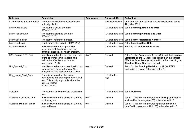| Data item                   | <b>Description</b>                                                                                                                                       | <b>Data values</b> | Source (ILR)              | <b>Derivation</b>                                                                                                                                                                                                                       |
|-----------------------------|----------------------------------------------------------------------------------------------------------------------------------------------------------|--------------------|---------------------------|-----------------------------------------------------------------------------------------------------------------------------------------------------------------------------------------------------------------------------------------|
| L PriorPcode LocalAuthority | The apprentice's home postcode local<br>authority district.                                                                                              |                    | Postcode lookup           | Obtained from the National Statistics Postcode Lookup<br>(UK) May 2021.                                                                                                                                                                 |
| LearnActEndDate             | The learning actual end date<br>(DDMMYYYY).                                                                                                              |                    | ILR standard files        | Set to Learning Actual End Date.                                                                                                                                                                                                        |
| LearnPlanEndDate            | The learning planned end date<br>(DDMMYYYY).                                                                                                             |                    | ILR standard files        | Set to Learning Planned End Date.                                                                                                                                                                                                       |
| LearnRefNumber              | The learner reference number.                                                                                                                            |                    |                           | ILR standard files Set to Learner Reference Number.                                                                                                                                                                                     |
| LearnStartDate              | The learning start date (DDMMYYYY).                                                                                                                      |                    |                           | ILR standard files   Set to Learning Start Date.                                                                                                                                                                                        |
| <b>LLDDHealthProb</b>       | Indicates whether the apprentice<br>considers that they have a learning<br>difficulty, disability, or health problem.                                    |                    | <b>ILR</b> standard files | Set to LLDD and Health Problem.                                                                                                                                                                                                         |
| LSD Before EFD Excl         | Identifies whether the learning start date<br>of the apprenticeship standard falls<br>before the effective from date as<br>recorded in LARS.             | 0 or 1             | Derived                   | Set to 1 if the Programme Type is 25, and the Learning<br><b>Start Date</b> on the ILR record is earlier than the earliest<br><b>Effective From Date as recorded in LARS, matching on</b><br><b>Standard Code</b> , Otherwise set to 0. |
| Not Funded Excl             | Identifies whether an apprenticeship has<br>ever received funding from us. Non-<br>funded aims are excluded from QARs.                                   | 0 or 1             | Derived                   | Set to 0 if the Funding Model is not 99 (No ESFA<br>funding) in any year. Otherwise set to 1.                                                                                                                                           |
| Orig Learn Start Date       | The original date that the learner<br>commenced the learning on the original<br>aim. This is only applicable where the<br>aim is a restart<br>(DDMMYYYY) |                    | ILR standard<br>files     |                                                                                                                                                                                                                                         |
| Outcome                     | The learning outcome of the programme<br>aim.                                                                                                            |                    | ILR standard files        | Set to Outcome.                                                                                                                                                                                                                         |
| Overdue Continuing Aim      | Indicates whether the aim is an overdue<br>continuing aim.                                                                                               | 0 or 1             | Derived                   | Set to 1 if the aim is an overdue continuing learning aim<br>(as identified in paragraph 28), otherwise set to 0.                                                                                                                       |
| Overdue Planned Break       | Indicates whether the aim is an overdue<br>planned break.                                                                                                | 0 or 1             | Derived                   | Set to 1 if the aim is an overdue planned break (as<br>identified in paragraphs 28 to 35), otherwise set to 0.                                                                                                                          |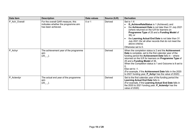| Data item     | <b>Description</b>                                                                             | Data values | Source (ILR) | <b>Derivation</b>                                                                                                                                                                                                                                                                                                                                                                                                                                                                               |
|---------------|------------------------------------------------------------------------------------------------|-------------|--------------|-------------------------------------------------------------------------------------------------------------------------------------------------------------------------------------------------------------------------------------------------------------------------------------------------------------------------------------------------------------------------------------------------------------------------------------------------------------------------------------------------|
| P_Ach_Overall | For the overall QAR measure, this<br>indicates whether the programme aim<br>has been achieved. | 0 or 1      | Derived      | Set to 1 if:<br>D_AchieveRateStatus is 1 (Achieved); and<br>$\bullet$<br>the Achievement Date is not later than 31 July 2021<br>$\bullet$<br>(where returned on the ILR for learners on<br>Programme Type of 25 and a Funding Model of<br>$36$ ; or<br>the Learning Actual End Date is not later than 31<br>July 2021 (for all other records that do not meet the<br>above criteria)<br>Otherwise set to 0.                                                                                     |
| P_Achyr       | The achievement year of the programme<br>aim<br>$(20$ <sub>_</sub> _).                         |             | Derived      | When the completion status is 2 and the <b>Achievement</b><br><b>Date</b> is complete, set to the first calendar year of the<br>funding period the <b>Achievement Date</b> falls in $-$ where<br>returned on the ILR for learners on Programme Type of<br>25 and a Funding Model of 36,<br>When the Completion status is 1 and Outcome is 8 set to<br>Else set to -1.<br>(For example, if the Achievement Date falls in the 2020<br>to 2021 funding year, <b>P_Achyr</b> has the value of 2020) |
| P_Actendyr    | The actual end year of the programme<br>aim<br>$(20$ <sup>-</sup>                              |             | Derived      | Set to the first calendar year of the funding period the<br>Learning Actual End Date falls in.<br>(For example, if the Learning Actual End Date falls in<br>the 2020 to 2021 funding year, <b>P_Actendyr</b> has the<br>value of 2020)                                                                                                                                                                                                                                                          |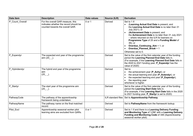| Data item       | <b>Description</b>                                                                                              | Data values | Source (ILR)       | <b>Derivation</b>                                                                                                                                                                                                                                                                                                                                                                                                                                    |
|-----------------|-----------------------------------------------------------------------------------------------------------------|-------------|--------------------|------------------------------------------------------------------------------------------------------------------------------------------------------------------------------------------------------------------------------------------------------------------------------------------------------------------------------------------------------------------------------------------------------------------------------------------------------|
| P Count_Overall | For the overall QAR measure, this<br>indicates whether the record should be<br>counted towards the overall QAR. | 0 or 1      | Derived            | Set to 1 if:<br>(Learning Actual End Date is present; and<br>the Learning Actual End Date is no later than 31<br>July 2021); or<br>(Achievement Date is present; and<br>the Achievement Date is no later than 31 July 2021<br>- where returned on the ILR for learners on<br>Programme Type of 25 and a Funding Model of<br>36); or<br><b>Overdue_Continuing_Aim = 1; or</b><br><b>Overdue Planned Break = 1</b><br>$\bullet$<br>Otherwise set to 0. |
| P_Expendyr      | The expected end year of the programme<br>aim (20 __ ).                                                         |             | Derived            | Set to the value of the first calendar year of the funding<br>period the Learning Planned End Date falls in.<br>(For example, if the Learning Planned End Date falls in<br>the 2020 to 2021 funding year, P_Expendyr has the<br>value of 2020)                                                                                                                                                                                                       |
| P Hybridendyr   | The hybrid end year of the programme<br>aim<br>$(20$ ).                                                         |             | Derived            | Set to:<br>the achievement year (P_Achyr); or<br>$\bullet$<br>the actual learning end year (P_Actendyr); or<br>$\bullet$<br>the expected learning end year (P_Expendyr);<br>$\bullet$<br>the reporting year<br>whichever is higher.                                                                                                                                                                                                                  |
| P_Startyr       | The start year of the programme aim<br>$(20$ ).                                                                 |             | Derived            | Set to the value of the first calendar year of the funding<br>period the Learning Start Date falls in.<br>(For example, if the Learning Start Date falls in the 2020<br>to 2021 funding year, P_Startyr is set to 2020)                                                                                                                                                                                                                              |
| PathwayCode     | The pathway of the apprenticeship<br>framework being undertaken.                                                |             | ILR standard files | Set to Apprenticeship Pathway.                                                                                                                                                                                                                                                                                                                                                                                                                       |
| PathwayName     | The pathway name on the final matched<br>record.                                                                |             | Derived            | Set to PathwayName from the framework lookup.                                                                                                                                                                                                                                                                                                                                                                                                        |
| Pilot_Excl      | Apprenticeship seasonal worker pilot<br>learning aims are excluded from QARs.                                   | 0 or 1      | Derived            | Set to 1 if and there is a Learning Delivery Funding<br>and Monitoring Type of 'LDM' with a Learning Delivery<br>Funding and Monitoring Code of 348 (Apprenticeship<br>seasonal worker pilot).                                                                                                                                                                                                                                                       |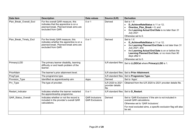| Data item               | <b>Description</b>                                                                                                                          | <b>Data values</b>                             | Source (ILR)                                 | <b>Derivation</b>                                                                                                                                                                                                                                                                               |
|-------------------------|---------------------------------------------------------------------------------------------------------------------------------------------|------------------------------------------------|----------------------------------------------|-------------------------------------------------------------------------------------------------------------------------------------------------------------------------------------------------------------------------------------------------------------------------------------------------|
| Plan_Break_Overall_Excl | For the overall QAR measure, this<br>indicates that the apprentice is on a<br>planned break. Planned break aims are<br>excluded from QAR.   | 0 or 1                                         | Derived                                      | Set to 1 if:<br>D AchieveRateStatus is 11 or 12;<br>$\bullet$<br><b>Overdue_Plan_Break</b> = $0$ ; and<br>$\bullet$<br>the Learning Actual End Date is no later than 31<br><b>July 2021</b><br>Otherwise set to 0.                                                                              |
| Plan Break Timely Excl  | For the timely QAR measure, this<br>indicates whether the apprentice is on a<br>planned break. Planned break aims are<br>excluded from QAR. | 0 or 1                                         | Derived                                      | Set to 1 if:<br>D_AchieveRateStatus is 11 or 12;<br>$\bullet$<br>the Learning Planned End Date is not later than 31<br>$\bullet$<br>July 2021; and<br>the Learning Actual End Date is on or before the<br>Learning Planned End Date, or no more than 90<br>days after it<br>Otherwise set to 0. |
| PrimaryLLDD             | The primary learner disability, learning<br>difficulty or and heath problem of the<br>learner.                                              |                                                | ILR standard files                           | Set to LLDDCat where PrimaryLLDD is 1.                                                                                                                                                                                                                                                          |
| PriorAttain             | The learner's prior attainment level.                                                                                                       |                                                | ILR standard files                           | Set to Prior Attainment.                                                                                                                                                                                                                                                                        |
| ProgType                | The programme type.                                                                                                                         |                                                | ILR standard files                           | Set to Programme Type.                                                                                                                                                                                                                                                                          |
| Provision_Type          | Identified as apprenticeship aim                                                                                                            | Apps                                           | Derived                                      | Set to 'Apps'.                                                                                                                                                                                                                                                                                  |
| Prv_Type                | The type of provider.                                                                                                                       |                                                | ILR 2020 to 2021<br>provider details<br>file | Obtained from the ILR 2020 to 2021 provider details file.                                                                                                                                                                                                                                       |
| Restart Indicator       | Indicates whether the learner restarted<br>the apprenticeship programme.                                                                    | $0$ or 1                                       | ILR standard files                           | Set to D_Restart.                                                                                                                                                                                                                                                                               |
| QAR_Status_Overall      | Indicates whether or not the record is<br>included in the provider's overall QAR<br>calculations.                                           | <b>QAR Inclusions</b><br><b>QAR Exclusions</b> | Derived                                      | Set to 'QAR Exclusions' if the aim is not included in<br>overall QAR calculations.<br>Otherwise set to 'QAR Inclusions'.<br>For most excluded aims, a specific exclusion flag will also<br>be set.                                                                                              |
|                         |                                                                                                                                             |                                                |                                              |                                                                                                                                                                                                                                                                                                 |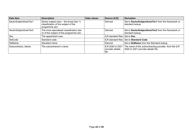| Data item              | <b>Description</b>                                                                                 | Data values | Source (ILR)                                 | <b>Derivation</b>                                                                            |
|------------------------|----------------------------------------------------------------------------------------------------|-------------|----------------------------------------------|----------------------------------------------------------------------------------------------|
| SectorSubjectAreaTier1 | Sector subject area – the broad (tier 1)<br>classification of the subject of the<br>programme aim. |             | Derived                                      | Set to SectorSubjectAreaTier1 from the framework or<br>standard lookup.                      |
| SectorSubjectAreaTier2 | The more specialised classification (tier<br>2) of the subject of the programme aim.               |             | Derived                                      | Set to SectorSubjectAreaTier2 from the framework or<br>standard lookup.                      |
| Sex                    | The apprentice's sex.                                                                              |             | ILR standard files Set to Sex.               |                                                                                              |
| StdCode                | Standard code.                                                                                     |             |                                              | ILR standard files Set to Standard Code.                                                     |
| StdName                | Standard name.                                                                                     |             | Derived                                      | Set to StdName from the Standard lookup.                                                     |
| Subcontractor Name     | The subcontractor's name.                                                                          |             | ILR 2020 to 2021<br>provider details<br>file | The name of the subcontracting provider, from the ILR<br>2020 to 2021 provider details file. |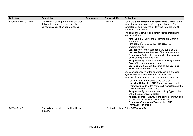| Data item           | <b>Description</b>                                                                                                     | <b>Data values</b> | Source (ILR) | <b>Derivation</b>                                                                                                                                                                                                                                                                                                                                                                                                                                                                                                                                                                                                                        |
|---------------------|------------------------------------------------------------------------------------------------------------------------|--------------------|--------------|------------------------------------------------------------------------------------------------------------------------------------------------------------------------------------------------------------------------------------------------------------------------------------------------------------------------------------------------------------------------------------------------------------------------------------------------------------------------------------------------------------------------------------------------------------------------------------------------------------------------------------------|
| Subcontractor_UKPRN | The UKPRN of the partner provider that<br>delivered the main assessment aim or<br>competency aim of an apprenticeship. |                    | Derived      | Set to the Subcontracted or Partnership UKPRN of the<br>competency learning aim of the apprenticeship. The<br>competency learning aims is identified from the LARS<br>Framework Aims table.<br>The component aims of an apprenticeship programme                                                                                                                                                                                                                                                                                                                                                                                         |
|                     |                                                                                                                        |                    |              | are those where:<br>Aim Type is 3 (Component learning aim within a<br>$\bullet$<br>programme);<br><b>UKPRN</b> is the same as the <b>UKPRN</b> of the<br>$\bullet$<br>programme aim;<br><b>Learner Reference Number</b> is the same as the<br>Learner Reference Number of the programme aim;<br><b>Framework Code is the same as the Framework</b><br>$\bullet$<br>Code of the programme aim;<br>Programme Type is the same as the Programme<br>$\bullet$<br>Type of the programme aim; and<br>Learning Start Date is the same as the Learning<br>Start Date of the programme aim<br>Each component aim of the apprenticeship is checked |
|                     |                                                                                                                        |                    |              | against the LARS Framework Aims table. The<br>component learning aim is the competency aim where:                                                                                                                                                                                                                                                                                                                                                                                                                                                                                                                                        |
|                     |                                                                                                                        |                    |              | Learning Aim Reference is the same as<br>LearnAimRef on the LARS Framework Aims table;<br>Framework Code is the same as FworkCode on the<br>$\bullet$<br>LARS Framework Aims table;<br>Programme Type is the same as ProgType on the<br>LARS Framework Aims table;<br>Apprenticeship Pathway is the same as PwayCode<br>on the LARS Framework Aims table; and<br>FrameworkComponentType on the LARS<br>Framework Aims table is 1                                                                                                                                                                                                         |
| SWSupAimID          | The software supplier's aim identifier of<br>the aim.                                                                  |                    |              | ILR standard files   Set to SWSupAimID.                                                                                                                                                                                                                                                                                                                                                                                                                                                                                                                                                                                                  |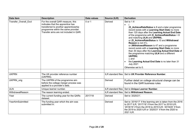| Data item             | <b>Description</b>                                                                                                                                                                               | Data values | Source (ILR)       | <b>Derivation</b>                                                                                                                                                                                                                                                                                                                                                                                                                                                                                                                                                                                                                                                               |
|-----------------------|--------------------------------------------------------------------------------------------------------------------------------------------------------------------------------------------------|-------------|--------------------|---------------------------------------------------------------------------------------------------------------------------------------------------------------------------------------------------------------------------------------------------------------------------------------------------------------------------------------------------------------------------------------------------------------------------------------------------------------------------------------------------------------------------------------------------------------------------------------------------------------------------------------------------------------------------------|
| Transfer Overall Excl | For the overall QAR measure, this<br>indicates that the apprentice has<br>transferred to another apprenticeship<br>programme within the same provider.<br>Transfer aims are not included in QAR. | 0 or 1      | Derived            | Set to 1 if:<br>$\bullet$<br>(D_AchieveRateStatus is 8 and a later programme<br>record exists with a Learning Start Date no more<br>than 120 days after the Learning Actual End Date<br>of the programme with $D$ AchieveRateStatus = 8<br>and matching ULN and UKPRN),<br>or (D_AchieveRateStatus is 10 and Withdrawal<br><b>Reason</b> is not 41),<br>or (WithdrawalReason is 47 and a programme<br>record exists with a Learning Start Date no more<br>than 30 days after the Learning Actual End Date of<br>the programme matching ULN and a different<br>UKPRN)<br>$);$ and<br>the Learning Actual End Date is no later than 31<br><b>July 2021</b><br>Otherwise set to 0. |
|                       |                                                                                                                                                                                                  |             |                    |                                                                                                                                                                                                                                                                                                                                                                                                                                                                                                                                                                                                                                                                                 |
| <b>UKPRN</b>          | The UK provider reference number<br>(UKPRN).                                                                                                                                                     |             | ILR standard files | Set to UK Provider Reference Number.                                                                                                                                                                                                                                                                                                                                                                                                                                                                                                                                                                                                                                            |
| UKPRN orig            | The UKPRN of the programme aim<br>before the college merger process was<br>applied to a provider's data.                                                                                         |             | Derived            | Further detail on college structural change can be<br>found in the QAR business rules                                                                                                                                                                                                                                                                                                                                                                                                                                                                                                                                                                                           |
| <b>ULN</b>            | Unique learner number.                                                                                                                                                                           |             | ILR standard files | Set to Unique Learner Number.                                                                                                                                                                                                                                                                                                                                                                                                                                                                                                                                                                                                                                                   |
| WithdrawalReason      | The reason learning ended.                                                                                                                                                                       |             | ILR standard files | Set to Withdrawal Reason.                                                                                                                                                                                                                                                                                                                                                                                                                                                                                                                                                                                                                                                       |
| Year                  | The current funding year for the QARs<br>dataset.                                                                                                                                                | 2017/18     | Derived            | Set to '2020/21'.                                                                                                                                                                                                                                                                                                                                                                                                                                                                                                                                                                                                                                                               |
| YearAimSubmitted      | The funding year which the aim was<br>submitted in.                                                                                                                                              |             | Derived            | Set to '2016/17' if the learning aim is taken from the 2016<br>to 2017 ILR; '2017/18' if from the 2017 to 2018 ILR;<br>'2018/19' if from the 2018 to 2019 ILR; '2019/20' if from<br>the 2019 to 2020 ILR or '2020/21' if from the 2020 to<br>2021 ILR.                                                                                                                                                                                                                                                                                                                                                                                                                          |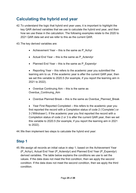# <span id="page-24-0"></span>**Calculating the hybrid end year**

- <span id="page-24-2"></span>42.To understand the logic that hybrid end year uses, it is important to highlight the key QAR derived variables that we use to calculate the hybrid end year, and then how we use these in the calculation. The following examples relate to the 2020 to 2021 QAR data set and we refer to this as the current QAR.
- 43.The key derived variables are:
	- Achievement Year this is the same as  $P$  Achyr
	- Actual End Year this is the same as P\_Actendyr
	- Planned End Year this is the same as P Expendyr

• Reporting Year – this refers to the academic year you submitted the learning aim to us. If the academic year is after the current QAR year, then we set this variable to 2020.5 (for example, if you report the learning aim in 2021 to 2022).

• Overdue Continuing Aim – this is the same as Overdue\_Continuing\_Aim

• Overdue Planned Break – this is the same as Overdue Planned Break

• Year First Reported Completed – this refers to the academic year you first reported the record with a Completion status of code 2 ('Complete') or 3 ('Withdrawn'). If the academic year you first reported the record with a Completion status of code 2 or 3 is after the current QAR year, then we set this variable to 2020.5 (for example, if you report the learning aim in 2021 to 2022).

44.We then implement two steps to calculate the hybrid end year:

## <span id="page-24-1"></span>**Step 1**

45.We assign all records an initial value in step 1, based on the Achievement Year (P\_Achyr), Actual End Year (P\_Actendyr) and Planned End Year (P\_Expendyr) derived variables. The table below explains the conditions we use to set the values. If the data does not meet the first condition, then we apply the second condition. If the data does not meet the second condition, then we apply the third condition.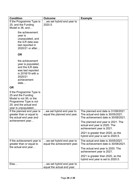| <b>Condition</b>                                                                                                                                    | <b>Outcome</b>                                           | <b>Example</b>                                                                                                   |  |
|-----------------------------------------------------------------------------------------------------------------------------------------------------|----------------------------------------------------------|------------------------------------------------------------------------------------------------------------------|--|
| If the Programme Type is<br>25, and the Funding<br>Model is 36, and                                                                                 | we set hybrid end year to<br>2020.5.                     |                                                                                                                  |  |
| the achievement<br>year is<br>unpopulated, and<br>the ILR data was<br>last reported in<br>2020/21 or after                                          |                                                          |                                                                                                                  |  |
| <b>OR</b>                                                                                                                                           |                                                          |                                                                                                                  |  |
| the achievement<br>year is populated,<br>and the ILR data<br>was last reported<br>in 2018/19 with a<br>2020/21<br>achievement<br>date               |                                                          |                                                                                                                  |  |
| <b>OR</b>                                                                                                                                           |                                                          |                                                                                                                  |  |
| If the Programme Type is<br>25 and the Funding<br>Model is not 36; or the<br>Programme Type is not<br>25; and the actual end<br>year is unpopulated |                                                          |                                                                                                                  |  |
| If the planned end year is<br>greater than or equal to<br>the actual end year and                                                                   | we set hybrid end year to<br>equal the planned end year. | The planned end date is 31/08/2021.<br>The actual end date is 30/05/2021.<br>The achievement date is 30/08/2021. |  |
| achievement year                                                                                                                                    |                                                          | The planned end year is 2021. The<br>actual end year is 2020. The<br>achievement year is 2021.                   |  |
|                                                                                                                                                     |                                                          | 2021 is greater than 2020, so the<br>hybrid end year is set to 2020.5.                                           |  |
| If the achievement year is<br>greater than or equal to                                                                                              | we set hybrid end year to<br>equal the achievement year. | The actual end date is 30/05/2021.<br>The achievement date is 30/08/2021.                                        |  |
| the actual end year                                                                                                                                 |                                                          | The actual end year is 2020. The<br>achievement year is 2021.                                                    |  |
|                                                                                                                                                     |                                                          | 2021 is greater than 2020, so the<br>hybrid end year is set to 2020.5.                                           |  |
| Else                                                                                                                                                | we set hybrid end year to<br>equal the actual end year.  |                                                                                                                  |  |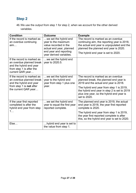# <span id="page-26-0"></span>**Step 2**

46.We use the output from step 1 for step 2, when we account for the other derived variables.

| <b>Condition</b>                                                                                                                             | <b>Outcome</b>                                                                                                                                         | <b>Example</b>                                                                                                                                                                                                                                                                |
|----------------------------------------------------------------------------------------------------------------------------------------------|--------------------------------------------------------------------------------------------------------------------------------------------------------|-------------------------------------------------------------------------------------------------------------------------------------------------------------------------------------------------------------------------------------------------------------------------------|
| If the record is marked as<br>an overdue continuing<br>aim                                                                                   | we set the hybrid end<br>year to the maximum<br>value recorded in the<br>actual end year, planned<br>end year and reporting<br>year derived variables. | The record is marked as an overdue<br>continuing aim, the reporting year is 2018,<br>the actual end year is unpopulated and the<br>planned the planned end year is 2020.<br>The hybrid end year is set to 2020.                                                               |
| If the record is marked as<br>an overdue planned break<br>and the hybrid end year<br>from step 1 is after the<br>current QAR year            | we set the hybrid end<br>year to 2020.5.                                                                                                               |                                                                                                                                                                                                                                                                               |
| If the record is marked as<br>an overdue planned break<br>and the hybrid end year<br>from step 1 is <b>not</b> after<br>the current QAR year | we set the hybrid end<br>year to the hybrid end<br>year from step 1 plus one<br>year.                                                                  | The record is marked as an overdue<br>planned break, the planned end year is<br>2019 and the actual end year is 2018.<br>The hybrid end year from step 1 is 2019,<br>the hybrid end year in step 2 is set to 2019<br>plus one year, so the hybrid end year is<br>set to 2020. |
| If the year first reported<br>completed is after the<br>hybrid end year from step<br>1                                                       | we set the hybrid end<br>year to equal the first year<br>reported complete.                                                                            | The planned end year is 2019, the actual<br>end year is 2018, the year first reported<br>complete is 2020.                                                                                                                                                                    |
|                                                                                                                                              |                                                                                                                                                        | The hybrid end year from step 1 is 2019,<br>the year first reported complete is after<br>this, so the hybrid end year is set to 2020.                                                                                                                                         |
| Else                                                                                                                                         | bybrid end year is set to<br>the value from step 1.                                                                                                    |                                                                                                                                                                                                                                                                               |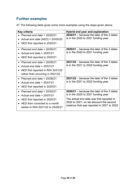# <span id="page-27-0"></span>**Further examples**

47.The following table gives some more examples using the steps given above.

| Key criteria                        | Hybrid end year and explanation                                                                                                    |  |
|-------------------------------------|------------------------------------------------------------------------------------------------------------------------------------|--|
| • Planned end date = $20/05/21$     | 2020/21 – because the later of the 3 dates                                                                                         |  |
| Actual end date $(AED) = 20/05/20$  | is in the 2020 to 2021 funding year.                                                                                               |  |
| • AED first reported in 2020/21     |                                                                                                                                    |  |
| • Planned end date = $20/05/21$     | 2020/21 – because the later of the 3 dates                                                                                         |  |
| • Actual end date = $25/07/21$      | is in the 2020 to 2021 funding year.                                                                                               |  |
| AED first reported in 2020/21       |                                                                                                                                    |  |
| • Planned end date = $20/06/21$     | $2021/22$ – because the later of the 3 dates                                                                                       |  |
| • Actual end date = $25/07/21$      | is in the 2021 to 2022 funding year.                                                                                               |  |
| • AED first reported in R04 2021/22 |                                                                                                                                    |  |
| rather than occurring in 2021/22    |                                                                                                                                    |  |
| • Planned end date = $20/08/21$     | $2021/22$ – because the later of the 3 dates                                                                                       |  |
| Actual end date = $25/07/21$        | is in the 2021 to 2022 funding year.                                                                                               |  |
| AED first reported in 2020/21       |                                                                                                                                    |  |
| Planned end date = $20/05/21$       | 2020/21 – because the later of the 3 dates                                                                                         |  |
| Actual end date = $25/07/21$        | is in the 2020 to 2021 funding year.                                                                                               |  |
| AED first reported in 2020/21       | The actual end date was first reported in<br>2020 to 2021, so we discount the second<br>instance that was reported in 2021 to 2022 |  |
| • AED then corrected to a month     |                                                                                                                                    |  |
| earlier in R04 2021/22 to 25/06/21  |                                                                                                                                    |  |
|                                     |                                                                                                                                    |  |